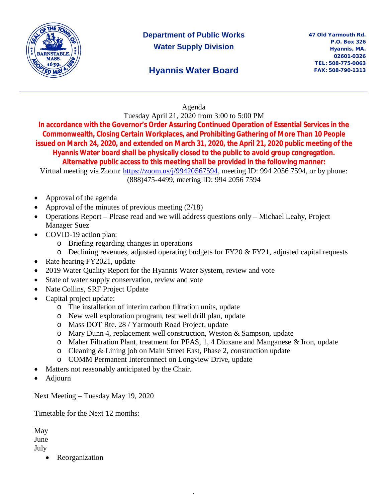

# **Department of Public Works Water Supply Division**

## **Hyannis Water Board**

#### Agenda

Tuesday April 21, 2020 from 3:00 to 5:00 PM

**In accordance with the Governor's Order Assuring Continued Operation of Essential Services in the Commonwealth, Closing Certain Workplaces, and Prohibiting Gathering of More Than 10 People issued on March 24, 2020, and extended on March 31, 2020, the April 21, 2020 public meeting of the Hyannis Water board shall be physically closed to the public to avoid group congregation. Alternative public access to this meeting shall be provided in the following manner:**

Virtual meeting via Zoom: https://zoom.us/j/99420567594, meeting ID: 994 2056 7594, or by phone: (888)475-4499, meeting ID: 994 2056 7594

- Approval of the agenda
- Approval of the minutes of previous meeting (2/18)
- Operations Report Please read and we will address questions only Michael Leahy, Project Manager Suez
- COVID-19 action plan:
	- o Briefing regarding changes in operations
	- $\circ$  Declining revenues, adjusted operating budgets for FY20 & FY21, adjusted capital requests
- Rate hearing FY2021, update
- 2019 Water Quality Report for the Hyannis Water System, review and vote
- State of water supply conservation, review and vote
- Nate Collins, SRF Project Update
- Capital project update:
	- o The installation of interim carbon filtration units, update
	- o New well exploration program, test well drill plan, update
	- o Mass DOT Rte. 28 / Yarmouth Road Project, update
	- o Mary Dunn 4, replacement well construction, Weston & Sampson, update
	- o Maher Filtration Plant, treatment for PFAS, 1, 4 Dioxane and Manganese & Iron, update

,

- o Cleaning & Lining job on Main Street East, Phase 2, construction update
- o COMM Permanent Interconnect on Longview Drive, update
- Matters not reasonably anticipated by the Chair.
- Adjourn

Next Meeting – Tuesday May 19, 2020

#### Timetable for the Next 12 months:

May June July

• Reorganization